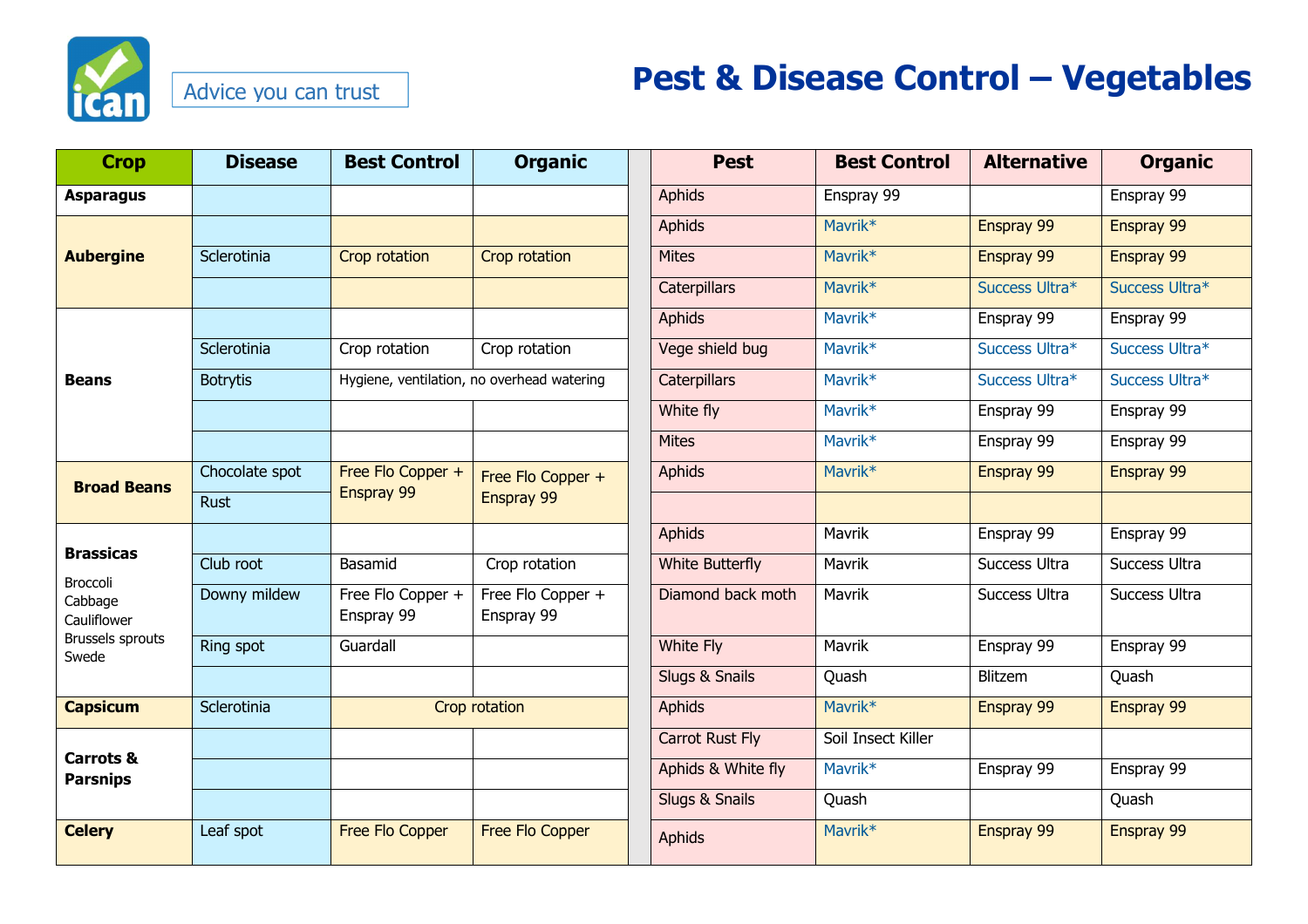

## Advice you can trust

## **Pest & Disease Control – Vegetables**

| <b>Crop</b>                                                                                       | <b>Disease</b>  | <b>Best Control</b>                        | <b>Organic</b>                  | <b>Pest</b>            | <b>Best Control</b> | <b>Alternative</b> | <b>Organic</b> |
|---------------------------------------------------------------------------------------------------|-----------------|--------------------------------------------|---------------------------------|------------------------|---------------------|--------------------|----------------|
| <b>Asparagus</b>                                                                                  |                 |                                            |                                 | <b>Aphids</b>          | Enspray 99          |                    | Enspray 99     |
| <b>Aubergine</b>                                                                                  |                 |                                            |                                 | <b>Aphids</b>          | Mavrik <sup>*</sup> | Enspray 99         | Enspray 99     |
|                                                                                                   | Sclerotinia     | Crop rotation                              | Crop rotation                   | <b>Mites</b>           | Mavrik <sup>*</sup> | Enspray 99         | Enspray 99     |
|                                                                                                   |                 |                                            |                                 | <b>Caterpillars</b>    | Mavrik <sup>*</sup> | Success Ultra*     | Success Ultra* |
| <b>Beans</b>                                                                                      |                 |                                            |                                 | <b>Aphids</b>          | Mavrik*             | Enspray 99         | Enspray 99     |
|                                                                                                   | Sclerotinia     | Crop rotation                              | Crop rotation                   | Vege shield bug        | Mavrik <sup>*</sup> | Success Ultra*     | Success Ultra* |
|                                                                                                   | <b>Botrytis</b> | Hygiene, ventilation, no overhead watering |                                 | <b>Caterpillars</b>    | Mavrik*             | Success Ultra*     | Success Ultra* |
|                                                                                                   |                 |                                            |                                 | White fly              | Mavrik <sup>*</sup> | Enspray 99         | Enspray 99     |
|                                                                                                   |                 |                                            |                                 | <b>Mites</b>           | Mavrik*             | Enspray 99         | Enspray 99     |
| <b>Broad Beans</b>                                                                                | Chocolate spot  | Free Flo Copper +                          | Free Flo Copper +<br>Enspray 99 | <b>Aphids</b>          | Mavrik <sup>*</sup> | Enspray 99         | Enspray 99     |
|                                                                                                   | <b>Rust</b>     | Enspray 99                                 |                                 |                        |                     |                    |                |
| <b>Brassicas</b><br><b>Broccoli</b><br>Cabbage<br>Cauliflower<br><b>Brussels sprouts</b><br>Swede |                 |                                            |                                 | <b>Aphids</b>          | Mavrik              | Enspray 99         | Enspray 99     |
|                                                                                                   | Club root       | Basamid                                    | Crop rotation                   | <b>White Butterfly</b> | Mavrik              | Success Ultra      | Success Ultra  |
|                                                                                                   | Downy mildew    | Free Flo Copper +<br>Enspray 99            | Free Flo Copper +<br>Enspray 99 | Diamond back moth      | Mavrik              | Success Ultra      | Success Ultra  |
|                                                                                                   | Ring spot       | Guardall                                   |                                 | <b>White Fly</b>       | Mavrik              | Enspray 99         | Enspray 99     |
|                                                                                                   |                 |                                            |                                 | Slugs & Snails         | Quash               | Blitzem            | Quash          |
| <b>Capsicum</b>                                                                                   | Sclerotinia     | Crop rotation                              |                                 | <b>Aphids</b>          | Mavrik <sup>*</sup> | Enspray 99         | Enspray 99     |
| <b>Carrots &amp;</b><br><b>Parsnips</b>                                                           |                 |                                            |                                 | <b>Carrot Rust Fly</b> | Soil Insect Killer  |                    |                |
|                                                                                                   |                 |                                            |                                 | Aphids & White fly     | Mavrik <sup>*</sup> | Enspray 99         | Enspray 99     |
|                                                                                                   |                 |                                            |                                 | Slugs & Snails         | Quash               |                    | Quash          |
| <b>Celery</b>                                                                                     | Leaf spot       | Free Flo Copper                            | Free Flo Copper                 | <b>Aphids</b>          | Mavrik <sup>*</sup> | Enspray 99         | Enspray 99     |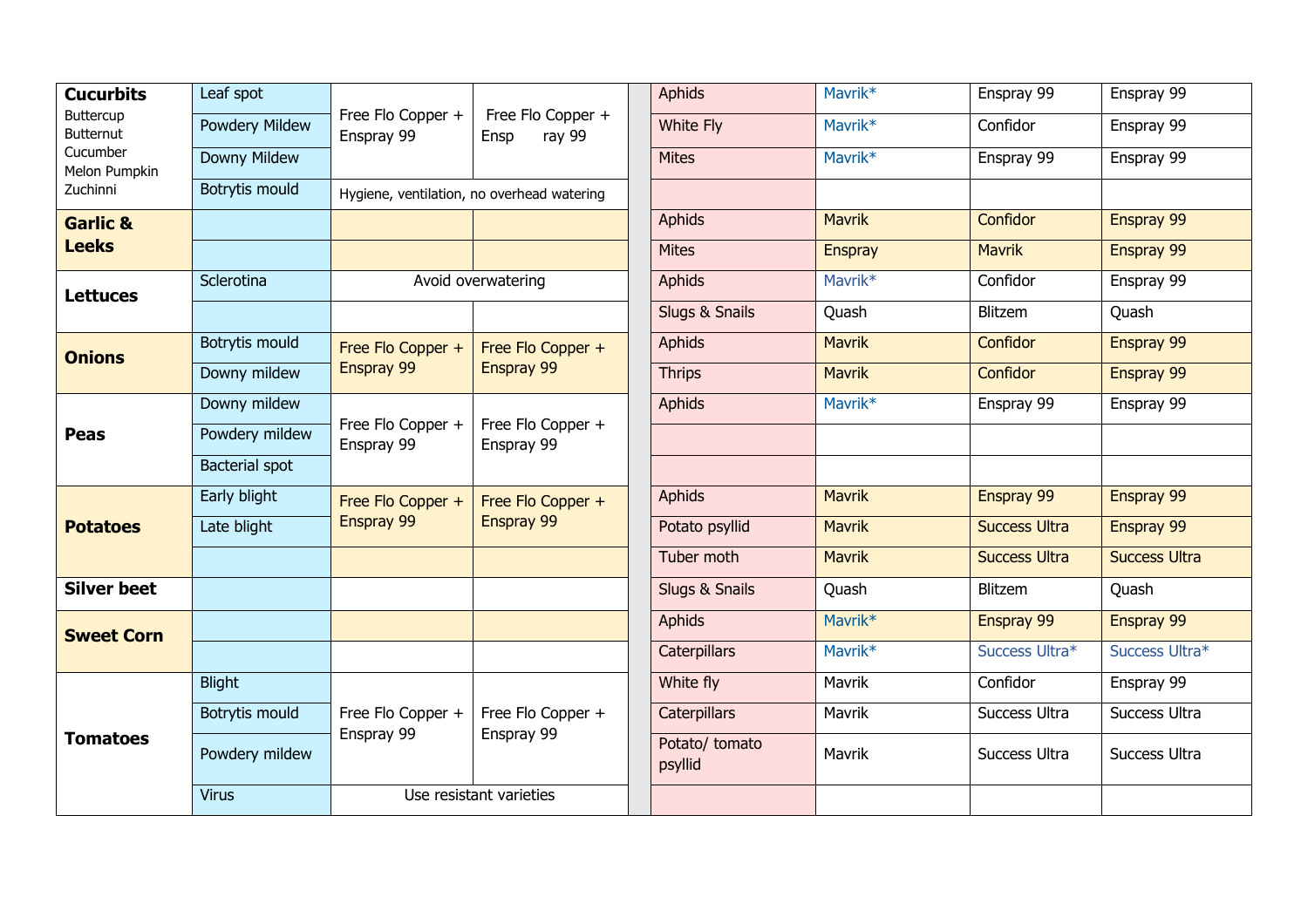| <b>Cucurbits</b><br>Buttercup<br><b>Butternut</b><br>Cucumber<br>Melon Pumpkin<br>Zuchinni | Leaf spot             | Free Flo Copper +<br>Enspray 99            | Free Flo Copper +<br>ray 99<br>Ensp | <b>Aphids</b>             | Mavrik*             | Enspray 99           | Enspray 99           |
|--------------------------------------------------------------------------------------------|-----------------------|--------------------------------------------|-------------------------------------|---------------------------|---------------------|----------------------|----------------------|
|                                                                                            | Powdery Mildew        |                                            |                                     | White Fly                 | Mavrik*             | Confidor             | Enspray 99           |
|                                                                                            | Downy Mildew          |                                            |                                     | <b>Mites</b>              | Mavrik*             | Enspray 99           | Enspray 99           |
|                                                                                            | <b>Botrytis mould</b> | Hygiene, ventilation, no overhead watering |                                     |                           |                     |                      |                      |
| <b>Garlic &amp;</b><br><b>Leeks</b>                                                        |                       |                                            |                                     | <b>Aphids</b>             | <b>Mavrik</b>       | Confidor             | Enspray 99           |
|                                                                                            |                       |                                            |                                     | <b>Mites</b>              | <b>Enspray</b>      | <b>Mavrik</b>        | Enspray 99           |
| <b>Lettuces</b>                                                                            | Sclerotina            | Avoid overwatering                         |                                     | <b>Aphids</b>             | Mavrik*             | Confidor             | Enspray 99           |
|                                                                                            |                       |                                            |                                     | Slugs & Snails            | Quash               | Blitzem              | Quash                |
| <b>Onions</b>                                                                              | Botrytis mould        | Free Flo Copper +<br>Enspray 99            | Free Flo Copper +<br>Enspray 99     | Aphids                    | <b>Mavrik</b>       | Confidor             | Enspray 99           |
|                                                                                            | Downy mildew          |                                            |                                     | <b>Thrips</b>             | <b>Mavrik</b>       | Confidor             | Enspray 99           |
| <b>Peas</b>                                                                                | Downy mildew          | Free Flo Copper +<br>Enspray 99            | Free Flo Copper +<br>Enspray 99     | Aphids                    | Mavrik*             | Enspray 99           | Enspray 99           |
|                                                                                            | Powdery mildew        |                                            |                                     |                           |                     |                      |                      |
|                                                                                            | <b>Bacterial spot</b> |                                            |                                     |                           |                     |                      |                      |
| <b>Potatoes</b>                                                                            | Early blight          | Free Flo Copper +<br>Enspray 99            | Free Flo Copper +<br>Enspray 99     | <b>Aphids</b>             | <b>Mavrik</b>       | Enspray 99           | Enspray 99           |
|                                                                                            | Late blight           |                                            |                                     | Potato psyllid            | <b>Mavrik</b>       | <b>Success Ultra</b> | Enspray 99           |
|                                                                                            |                       |                                            |                                     | Tuber moth                | <b>Mavrik</b>       | <b>Success Ultra</b> | <b>Success Ultra</b> |
| <b>Silver beet</b>                                                                         |                       |                                            |                                     | Slugs & Snails            | Quash               | Blitzem              | Quash                |
| <b>Sweet Corn</b>                                                                          |                       |                                            |                                     | <b>Aphids</b>             | Mavrik <sup>*</sup> | Enspray 99           | Enspray 99           |
|                                                                                            |                       |                                            |                                     | <b>Caterpillars</b>       | Mavrik*             | Success Ultra*       | Success Ultra*       |
| <b>Tomatoes</b>                                                                            | <b>Blight</b>         | Free Flo Copper +<br>Enspray 99            | Free Flo Copper +<br>Enspray 99     | White fly                 | Mavrik              | Confidor             | Enspray 99           |
|                                                                                            | Botrytis mould        |                                            |                                     | <b>Caterpillars</b>       | Mavrik              | Success Ultra        | Success Ultra        |
|                                                                                            | Powdery mildew        |                                            |                                     | Potato/ tomato<br>psyllid | Mavrik              | Success Ultra        | Success Ultra        |
|                                                                                            | <b>Virus</b>          | Use resistant varieties                    |                                     |                           |                     |                      |                      |